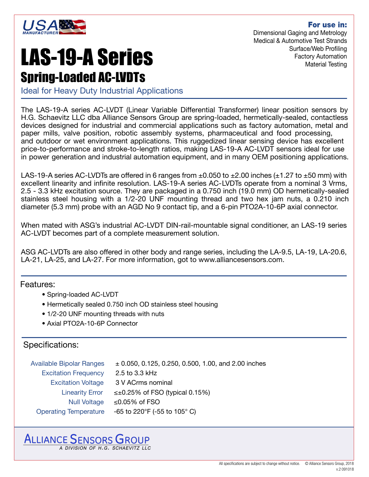

For use in: Dimensional Gaging and Metrology Medical & Automotive Test Strands Surface/Web Profiling Factory Automation Material Testing

# LAS-19-A Series Spring-Loaded AC-LVDTs

Ideal for Heavy Duty Industrial Applications

The LAS-19-A series AC-LVDT (Linear Variable Differential Transformer) linear position sensors by H.G. Schaevitz LLC dba Alliance Sensors Group are spring-loaded, hermetically-sealed, contactless devices designed for industrial and commercial applications such as factory automation, metal and paper mills, valve position, robotic assembly systems, pharmaceutical and food processing, and outdoor or wet environment applications. This ruggedized linear sensing device has excellent price-to-performance and stroke-to-length ratios, making LAS-19-A AC-LVDT sensors ideal for use in power generation and industrial automation equipment, and in many OEM positioning applications.

LAS-19-A series AC-LVDTs are offered in 6 ranges from  $\pm 0.050$  to  $\pm 2.00$  inches ( $\pm 1.27$  to  $\pm 50$  mm) with excellent linearity and infinite resolution. LAS-19-A series AC-LVDTs operate from a nominal 3 Vrms, 2.5 - 3.3 kHz excitation source. They are packaged in a 0.750 inch (19.0 mm) OD hermetically-sealed stainless steel housing with a 1/2-20 UNF mounting thread and two hex jam nuts, a 0.210 inch diameter (5.3 mm) probe with an AGD No 9 contact tip, and a 6-pin PTO2A-10-6P axial connector.

When mated with ASG's industrial AC-LVDT DIN-rail-mountable signal conditioner, an LAS-19 series AC-LVDT becomes part of a complete measurement solution.

ASG AC-LVDTs are also offered in other body and range series, including the LA-9.5, LA-19, LA-20.6, LA-21, LA-25, and LA-27. For more information, got to www.alliancesensors.com.

Features:

- Spring-loaded AC-LVDT
- Hermetically sealed 0.750 inch OD stainless steel housing
- 1/2-20 UNF mounting threads with nuts
- Axial PTO2A-10-6P Connector

## Specifications:

| <b>Available Bipolar Ranges</b> | $\pm$ 0.050, 0.125, 0.250, 0.500, 1.00, and 2.00 inches |
|---------------------------------|---------------------------------------------------------|
| <b>Excitation Frequency</b>     | 2.5 to 3.3 kHz                                          |
| <b>Excitation Voltage</b>       | 3 V ACrms nominal                                       |
| <b>Linearity Error</b>          | $\leq \pm 0.25\%$ of FSO (typical 0.15%)                |
| <b>Null Voltage</b>             | ≤0.05% of FSO                                           |
| <b>Operating Temperature</b>    | -65 to 220°F (-55 to 105° C)                            |

### **ALLIANCE SENSORS GROUP** A DIVISION OF H.G. SCHAEVITZ LLC